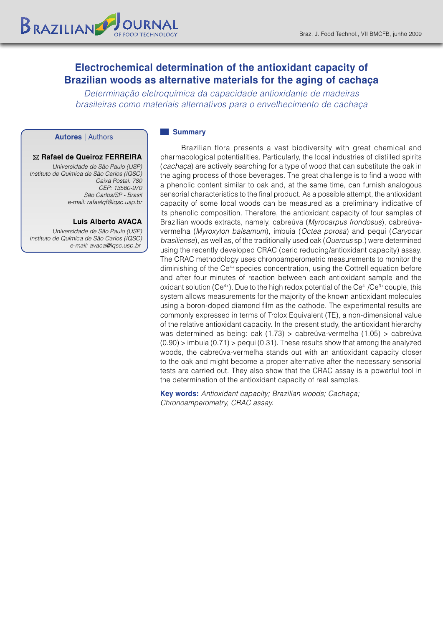# **Electrochemical determination of the antioxidant capacity of Brazilian woods as alternative materials for the aging of cachaça**

*Determinação eletroquímica da capacidade antioxidante de madeiras brasileiras como materiais alternativos para o envelhecimento de cachaça*

## **Autores** | Authors

## **Rafael de Queiroz FERREIRA**

*Universidade de São Paulo (USP) Instituto de Química de São Carlos (IQSC) Caixa Postal: 780 CEP: 13560-970 São Carlos/SP - Brasil e-mail: rafaelqf@iqsc.usp.br*

#### **Luis Alberto AVACA**

*Universidade de São Paulo (USP) Instituto de Química de São Carlos (IQSC) e-mail: avaca@iqsc.usp.br*

# **Summary**

Brazilian flora presents a vast biodiversity with great chemical and pharmacological potentialities. Particularly, the local industries of distilled spirits (*cachaça*) are actively searching for a type of wood that can substitute the oak in the aging process of those beverages. The great challenge is to find a wood with a phenolic content similar to oak and, at the same time, can furnish analogous sensorial characteristics to the final product. As a possible attempt, the antioxidant capacity of some local woods can be measured as a preliminary indicative of its phenolic composition. Therefore, the antioxidant capacity of four samples of Brazilian woods extracts, namely, cabreúva (*Myrocarpus frondosus*), cabreúvavermelha (*Myroxylon balsamum*), imbuia (*Octea porosa*) and pequi (*Caryocar brasiliense*), as well as, of the traditionally used oak (*Quercus* sp.) were determined using the recently developed CRAC (ceric reducing/antioxidant capacity) assay. The CRAC methodology uses chronoamperometric measurements to monitor the diminishing of the Ce4+ species concentration, using the Cottrell equation before and after four minutes of reaction between each antioxidant sample and the oxidant solution (Ce<sup>4+</sup>). Due to the high redox potential of the  $Ce<sup>4+/</sup>Ce<sup>3+</sup>$  couple, this system allows measurements for the majority of the known antioxidant molecules using a boron-doped diamond film as the cathode. The experimental results are commonly expressed in terms of Trolox Equivalent (TE), a non-dimensional value of the relative antioxidant capacity. In the present study, the antioxidant hierarchy was determined as being: oak (1.73) > cabreúva-vermelha (1.05) > cabreúva  $(0.90)$  > imbuia  $(0.71)$  > pequi  $(0.31)$ . These results show that among the analyzed woods, the cabreúva-vermelha stands out with an antioxidant capacity closer to the oak and might become a proper alternative after the necessary sensorial tests are carried out. They also show that the CRAC assay is a powerful tool in the determination of the antioxidant capacity of real samples.

**Key words:** *Antioxidant capacity; Brazilian woods; Cachaça; Chronoamperometry, CRAC assay.*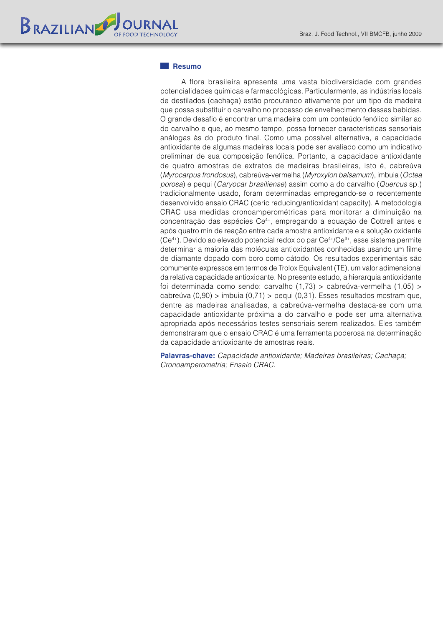#### **Resumo**

A flora brasileira apresenta uma vasta biodiversidade com grandes potencialidades químicas e farmacológicas. Particularmente, as indústrias locais de destilados (cachaça) estão procurando ativamente por um tipo de madeira que possa substituir o carvalho no processo de envelhecimento dessas bebidas. O grande desafio é encontrar uma madeira com um conteúdo fenólico similar ao do carvalho e que, ao mesmo tempo, possa fornecer características sensoriais análogas às do produto final. Como uma possível alternativa, a capacidade antioxidante de algumas madeiras locais pode ser avaliado como um indicativo preliminar de sua composição fenólica. Portanto, a capacidade antioxidante de quatro amostras de extratos de madeiras brasileiras, isto é, cabreúva (*Myrocarpus frondosus*), cabreúva-vermelha (*Myroxylon balsamum*), imbuia (*Octea porosa*) e pequi (*Caryocar brasiliense*) assim como a do carvalho (*Quercus* sp.) tradicionalmente usado, foram determinadas empregando-se o recentemente desenvolvido ensaio CRAC (ceric reducing/antioxidant capacity). A metodologia CRAC usa medidas cronoamperométricas para monitorar a diminuição na concentração das espécies Ce4+, empregando a equação de Cottrell antes e após quatro min de reação entre cada amostra antioxidante e a solução oxidante  $(Ce^{4})$ . Devido ao elevado potencial redox do par  $Ce^{4+}/Ce^{3+}$ , esse sistema permite determinar a maioria das moléculas antioxidantes conhecidas usando um filme de diamante dopado com boro como cátodo. Os resultados experimentais são comumente expressos em termos de Trolox Equivalent (TE), um valor adimensional da relativa capacidade antioxidante. No presente estudo, a hierarquia antioxidante foi determinada como sendo: carvalho (1,73) > cabreúva-vermelha (1,05) > cabreúva  $(0,90)$  > imbuia  $(0,71)$  > pequi  $(0,31)$ . Esses resultados mostram que, dentre as madeiras analisadas, a cabreúva-vermelha destaca-se com uma capacidade antioxidante próxima a do carvalho e pode ser uma alternativa apropriada após necessários testes sensoriais serem realizados. Eles também demonstraram que o ensaio CRAC é uma ferramenta poderosa na determinação da capacidade antioxidante de amostras reais.

**Palavras-chave:** *Capacidade antioxidante; Madeiras brasileiras; Cachaça; Cronoamperometria; Ensaio CRAC.*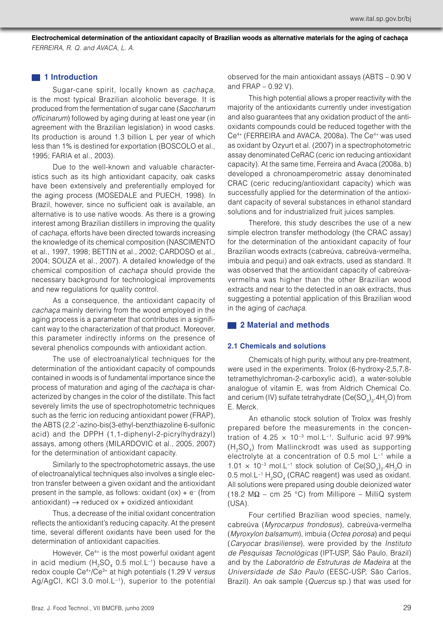# **1** 1 Introduction

Sugar-cane spirit, locally known as *cachaça*, is the most typical Brazilian alcoholic beverage. It is produced from the fermentation of sugar cane (*Saccharum officinarum*) followed by aging during at least one year (in agreement with the Brazilian legislation) in wood casks. Its production is around 1.3 billion L per year of which less than 1% is destined for exportation (BOSCOLO et al., 1995; FARIA et al., 2003).

Due to the well-known and valuable characteristics such as its high antioxidant capacity, oak casks have been extensively and preferentially employed for the aging process (MOSEDALE and PUECH, 1998). In Brazil, however, since no sufficient oak is available, an alternative is to use native woods. As there is a growing interest among Brazilian distillers in improving the quality of *cachaça*, efforts have been directed towards increasing the knowledge of its chemical composition (NASCIMENTO et al., 1997, 1998; BETTIN et al., 2002; CARDOSO et al., 2004; SOUZA et al., 2007). A detailed knowledge of the chemical composition of *cachaça* should provide the necessary background for technological improvements and new regulations for quality control.

As a consequence, the antioxidant capacity of *cachaça* mainly deriving from the wood employed in the aging process is a parameter that contributes in a significant way to the characterization of that product. Moreover, this parameter indirectly informs on the presence of several phenolics compounds with antioxidant action.

The use of electroanalytical techniques for the determination of the antioxidant capacity of compounds contained in woods is of fundamental importance since the process of maturation and aging of the *cachaça* is characterized by changes in the color of the distillate. This fact severely limits the use of spectrophotometric techniques such as the ferric ion reducing antioxidant power (FRAP), the ABTS (2,2´-azino-bis(3-ethyl-benzthiazoline 6-sulfonic acid) and the DPPH (1,1-diphenyl-2-picrylhydrazyl) assays, among others (MILARDOVIC et al., 2005, 2007) for the determination of antioxidant capacity.

Similarly to the spectrophotometric assays, the use of electroanalytical techniques also involves a single electron transfer between a given oxidant and the antioxidant present in the sample, as follows: oxidant (ox) + e− (from antioxidant)  $\rightarrow$  reduced ox + oxidized antioxidant

Thus, a decrease of the initial oxidant concentration reflects the antioxidant's reducing capacity. At the present time, several different oxidants have been used for the determination of antioxidant capacities.

However, Ce<sup>4+</sup> is the most powerful oxidant agent in acid medium  $(H<sub>2</sub>SO<sub>4</sub> 0.5 mol.L<sup>-1</sup>)$  because have a redox couple Ce4+/Ce3+ at high potentials (1.29 V *versus* Ag/AgCl, KCl 3.0 mol.L−1), superior to the potential

observed for the main antioxidant assays (ABTS – 0.90 V and FRAP – 0.92 V).

This high potential allows a proper reactivity with the majority of the antioxidants currently under investigation and also guarantees that any oxidation product of the antioxidants compounds could be reduced together with the Ce<sup>4+</sup> (FERREIRA and AVACA, 2008a). The Ce<sup>4+</sup> was used as oxidant by Ozyurt et al. (2007) in a spectrophotometric assay denominated CeRAC (ceric ion reducing antioxidant capacity). At the same time, Ferreira and Avaca (2008a, b) developed a chronoamperometric assay denominated CRAC (ceric reducing/antioxidant capacity) which was successfully applied for the determination of the antioxidant capacity of several substances in ethanol standard solutions and for industrialized fruit juices samples.

Therefore, this study describes the use of a new simple electron transfer methodology (the CRAC assay) for the determination of the antioxidant capacity of four Brazilian woods extracts (cabreúva, cabreúva-vermelha, imbuia and pequi) and oak extracts, used as standard. It was observed that the antioxidant capacity of cabreúvavermelha was higher than the other Brazilian wood extracts and near to the detected in an oak extracts, thus suggesting a potential application of this Brazilian wood in the aging of *cachaça*.

# **2 Material and methods**

#### **2.1 Chemicals and solutions**

Chemicals of high purity, without any pre-treatment, were used in the experiments. Trolox (6-hydroxy-2,5,7,8 tetramethylchroman-2-carboxylic acid), a water-soluble analogue of vitamin E, was from Aldrich Chemical Co. and cerium (IV) sulfate tetrahydrate (Ce(SO<sub>4</sub>)<sub>2</sub>.4H<sub>2</sub>O) from E. Merck.

An ethanolic stock solution of Trolox was freshly prepared before the measurements in the concentration of  $4.25 \times 10^{-3}$  mol.L<sup>-1</sup>. Sulfuric acid 97.99% (H2SO4) from Mallinckrodt was used as supporting electrolyte at a concentration of 0.5 mol L−1 while a  $1.01 \times 10^{-3}$  mol.L<sup>-1</sup> stock solution of Ce(SO<sub>4</sub>)<sub>2</sub>.4H<sub>2</sub>O in 0.5 mol.L<sup>-1</sup> H<sub>2</sub>SO<sub>4</sub> (CRAC reagent) was used as oxidant. All solutions were prepared using double deionized water (18.2 M $\Omega$  – cm 25 °C) from Millipore – MilliQ system (USA).

Four certified Brazilian wood species, namely, cabreúva (*Myrocarpus frondosus*), cabreúva-vermelha (*Myroxylon balsamum*), imbuia (*Octea porosa*) and pequi (*Caryocar brasiliense*), were provided by the *Instituto de Pesquisas Tecnológicas* (IPT-USP, São Paulo, Brazil) and by the *Laboratório de Estruturas de Madeira* at the *Universidade de São Paulo* (EESC-USP, São Carlos, Brazil). An oak sample (*Quercus* sp.) that was used for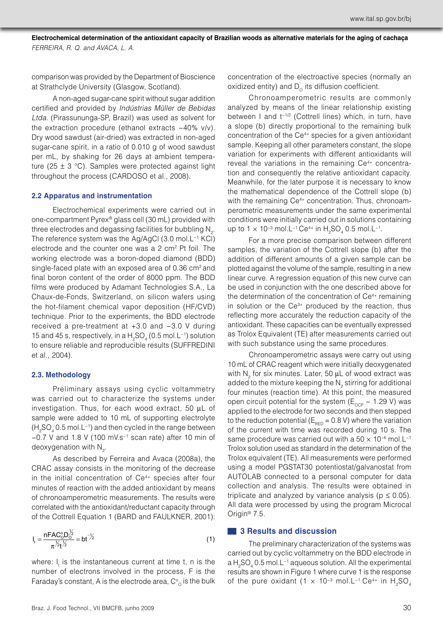comparison was provided by the Department of Bioscience at Strathclyde University (Glasgow, Scotland).

A non-aged sugar-cane spirit without sugar addition certified and provided by *Indústrias Müller de Bebidas Ltda.* (Pirassununga-SP, Brazil) was used as solvent for the extraction procedure (ethanol extracts  $~10\%$  v/v). Dry wood sawdust (air-dried) was extracted in non-aged sugar-cane spirit, in a ratio of 0.010 g of wood sawdust per mL, by shaking for 26 days at ambient temperature (25  $\pm$  3 °C). Samples were protected against light throughout the process (CARDOSO et al., 2008).

#### **2.2 Apparatus and instrumentation**

Electrochemical experiments were carried out in one-compartment Pyrex® glass cell (30 mL) provided with three electrodes and degassing facilities for bubbling  $N<sub>2</sub>$ . The reference system was the Ag/AgCl (3.0 mol.L−1 KCl) electrode and the counter one was a 2 cm2 Pt foil. The working electrode was a boron-doped diamond (BDD) single-faced plate with an exposed area of 0.36 cm<sup>2</sup> and final boron content of the order of 8000 ppm. The BDD films were produced by Adamant Technologies S.A., La Chaux-de-Fonds, Switzerland, on silicon wafers using the hot-filament chemical vapor deposition (HF/CVD) technique. Prior to the experiments, the BDD electrode received a pre-treatment at +3.0 and −3.0 V during 15 and 45 s, respectively, in a H<sub>2</sub>SO<sub>4</sub> (0.5 mol.L<sup>-1</sup>) solution to ensure reliable and reproducible results (SUFFREDINI et al., 2004).

#### **2.3. Methodology**

Preliminary assays using cyclic voltammetry was carried out to characterize the systems under investigation. Thus, for each wood extract, 50 µL of sample were added to 10 mL of supporting electrolyte (H<sub>2</sub>SO<sub>4</sub> 0.5 mol.L<sup>-1</sup>) and then cycled in the range between −0.7 V and 1.8 V (100 mV.s−1 scan rate) after 10 min of deoxygenation with  $N_{2}$ .

As described by Ferreira and Avaca (2008a), the CRAC assay consists in the monitoring of the decrease in the initial concentration of Ce<sup>4+</sup> species after four minutes of reaction with the added antioxidant by means of chronoamperometric measurements. The results were correlated with the antioxidant/reductant capacity through of the Cottrell Equation 1 (BARD and FAULKNER, 2001):

$$
I_{t} = \frac{nFAC_{0}^{0}D_{0}^{\frac{1}{2}}}{\pi^{\frac{1}{2}}t^{\frac{1}{2}}} = bt^{-\frac{1}{2}} \tag{1}
$$

where:  $I_{t}$  is the instantaneous current at time t, n is the number of electrons involved in the process, F is the Faraday's constant, A is the electrode area, C $^{\circ}_{\rm o}$  is the bulk concentration of the electroactive species (normally an oxidized entity) and  $D_0$  its diffusion coefficient.

Chronoamperometric results are commonly analyzed by means of the linear relationship existing between I and t−1/2 (Cottrell lines) which, in turn, have a slope (b) directly proportional to the remaining bulk concentration of the Ce4+ species for a given antioxidant sample. Keeping all other parameters constant, the slope variation for experiments with different antioxidants will reveal the variations in the remaining Ce<sup>4+</sup> concentration and consequently the relative antioxidant capacity. Meanwhile, for the later purpose it is necessary to know the mathematical dependence of the Cottrell slope (b) with the remaining Ce<sup>4+</sup> concentration. Thus, chronoamperometric measurements under the same experimental conditions were initially carried out in solutions containing up to 1  $\times$  10<sup>-3</sup> mol.L<sup>-1</sup> Ce<sup>4+</sup> in H<sub>2</sub>SO<sub>4</sub> 0.5 mol.L<sup>-1</sup>.

For a more precise comparison between different samples, the variation of the Cottrell slope (b) after the addition of different amounts of a given sample can be plotted against the volume of the sample, resulting in a new linear curve. A regression equation of this new curve can be used in conjunction with the one described above for the determination of the concentration of Ce<sup>4+</sup> remaining in solution or the  $Ce^{3+}$  produced by the reaction, thus reflecting more accurately the reduction capacity of the antioxidant. These capacities can be eventually expressed as Trolox Equivalent (TE) after measurements carried out with such substance using the same procedures.

Chronoamperometric assays were carry out using 10 mL of CRAC reagent which were initially deoxygenated with  $N<sub>2</sub>$  for six minutes. Later, 50  $\mu$ L of wood extract was added to the mixture keeping the  $N<sub>2</sub>$  stirring for additional four minutes (reaction time). At this point, the measured open circuit potential for the system ( $E_{OCP} \sim 1.29$  V) was applied to the electrode for two seconds and then stepped to the reduction potential ( $E_{\text{gen}} = 0.8 \text{ V}$ ) where the variation of the current with time was recorded during 10 s. The same procedure was carried out with a  $50 \times 10^{-6}$  mol.L<sup>-1</sup> Trolox solution used as standard in the determination of the Trolox equivalent (TE). All measurements were performed using a model PGSTAT30 potentiostat/galvanostat from AUTOLAB connected to a personal computer for data collection and analysis. The results were obtained in triplicate and analyzed by variance analysis ( $p \le 0.05$ ). All data were processed by using the program Microcal Origin® 7.5.

# **3 Results and discussion**

The preliminary characterization of the systems was carried out by cyclic voltammetry on the BDD electrode in  $a\,H_2SO_4$  0.5 mol.L<sup>-1</sup> aqueous solution. All the experimental results are shown in Figure 1 where curve 1 is the response of the pure oxidant (1  $\times$  10<sup>-3</sup> mol.L<sup>-1</sup> Ce<sup>4+</sup> in H<sub>2</sub>SO<sub>4</sub>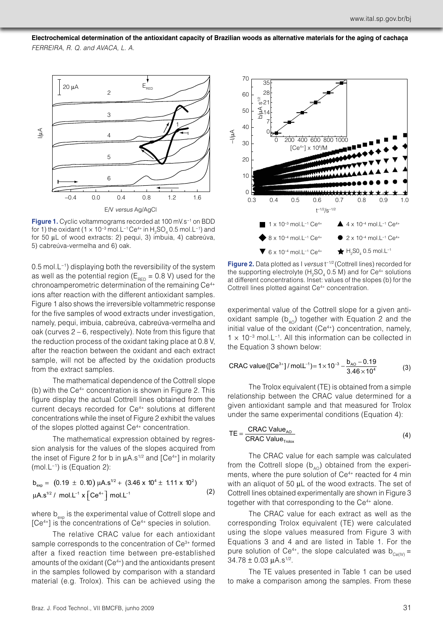

**Figure 1.** Cyclic voltammograms recorded at 100 mV.s−1 on BDD for 1) the oxidant (1 × 10<sup>-3</sup> mol.L<sup>-1</sup> Ce<sup>4+</sup> in H<sub>2</sub>SO<sub>4</sub> 0.5 mol.L<sup>-1</sup>) and for 50 μL of wood extracts: 2) pequi, 3) imbuia, 4) cabreúva, 5) cabreúva-vermelha and 6) oak.

0.5 mol.L−1) displaying both the reversibility of the system as well as the potential region ( $E_{\text{BED}}$  = 0.8 V) used for the chronoamperometric determination of the remaining Ce<sup>4+</sup> ions after reaction with the different antioxidant samples. Figure 1 also shows the irreversible voltammetric response for the five samples of wood extracts under investigation, namely, pequi, imbuia, cabreúva, cabreúva-vermelha and oak (curves 2 – 6, respectively). Note from this figure that the reduction process of the oxidant taking place at 0.8 V, after the reaction between the oxidant and each extract sample, will not be affected by the oxidation products from the extract samples.

The mathematical dependence of the Cottrell slope (b) with the  $Ce<sup>4+</sup>$  concentration is shown in Figure 2. This figure display the actual Cottrell lines obtained from the current decays recorded for Ce<sup>4+</sup> solutions at different concentrations while the inset of Figure 2 exhibit the values of the slopes plotted against Ce<sup>4+</sup> concentration.

The mathematical expression obtained by regression analysis for the values of the slopes acquired from the inset of Figure 2 for b in  $\mu A.s^{1/2}$  and  $[Ce^{4+}]$  in molarity (mol.L−1) is (Equation 2):

$$
b_{exp} = (0.19 \pm 0.10) \mu A. s^{1/2} + (3.46 \times 10^4 \pm 1.11 \times 10^2)
$$
  
\n
$$
\mu A. s^{1/2} / \text{mol.L}^{-1} \times \left[ \text{Ce}^{4+} \right] \text{mol.L}^{-1}
$$
 (2)

where b<sub>exp</sub> is the experimental value of Cottrell slope and [Ce4+] is the concentrations of Ce4+ species in solution.

The relative CRAC value for each antioxidant sample corresponds to the concentration of Ce<sup>3+</sup> formed after a fixed reaction time between pre-established amounts of the oxidant (Ce<sup>4+</sup>) and the antioxidants present in the samples followed by comparison with a standard material (e.g. Trolox). This can be achieved using the



**Figure 2.** Data plotted as I *versus* t−1/2 (Cottrell lines) recorded for the supporting electrolyte (H<sub>2</sub>SO<sub>4</sub> 0.5 M) and for Ce<sup>4+</sup> solutions at different concentrations. Inset: values of the slopes (b) for the Cottrell lines plotted against Ce<sup>4+</sup> concentration.

experimental value of the Cottrell slope for a given antioxidant sample ( $b_{A0}$ ) together with Equation 2 and the initial value of the oxidant  $(Ce<sup>4+</sup>)$  concentration, namely, 1 × 10−3 mol.L−1. All this information can be collected in the Equation 3 shown below:

$$
\text{CRAC value} \left( \left[ \text{Ce}^{3+} \right] / \text{mol} \cdot \text{L}^{-1} \right) = 1 \times 10^{-3} - \frac{b_{\text{AO}} - 0.19}{3.46 \times 10^{4}} \tag{3}
$$

The Trolox equivalent (TE) is obtained from a simple relationship between the CRAC value determined for a given antioxidant sample and that measured for Trolox under the same experimental conditions (Equation 4):

$$
TE = \frac{CRAC Value_{AO}}{CRAC Value_{Trolox}}
$$
 (4)

The CRAC value for each sample was calculated from the Cottrell slope  $(b_{A0})$  obtained from the experiments, where the pure solution of Ce<sup>4+</sup> reacted for 4 min with an aliquot of 50  $\mu$ L of the wood extracts. The set of Cottrell lines obtained experimentally are shown in Figure 3 together with that corresponding to the  $Ce<sup>4+</sup>$  alone.

The CRAC value for each extract as well as the corresponding Trolox equivalent (TE) were calculated using the slope values measured from Figure 3 with Equations 3 and 4 and are listed in Table 1. For the pure solution of Ce<sup>4+</sup>, the slope calculated was  $b_{C_1(1)} =$  $34.78 \pm 0.03 \text{ uA.s}^{1/2}$ .

The TE values presented in Table 1 can be used to make a comparison among the samples. From these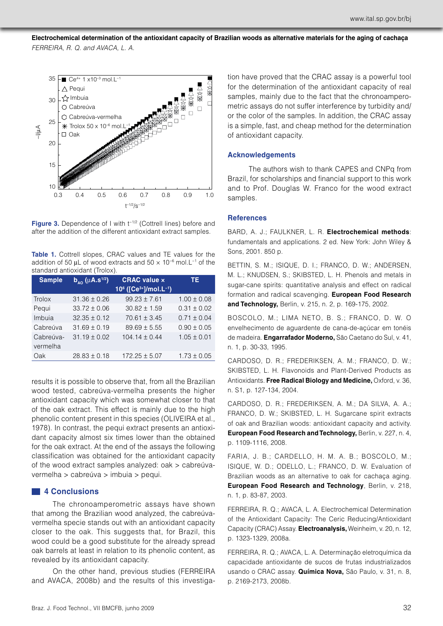

**Figure 3.** Dependence of I with t−1/2 (Cottrell lines) before and after the addition of the different antioxidant extract samples.

**Table 1.** Cottrell slopes, CRAC values and TE values for the addition of 50 µL of wood extracts and 50 × 10−6 mol.L−1 of the standard antioxidant (Trolox).

| <b>Sample</b>         | $\mathbf{b}_{\mathbf{A}\Omega}$ (µA.s <sup>1/2</sup> ) | <b>CRAC</b> value x                                        | TЕ              |
|-----------------------|--------------------------------------------------------|------------------------------------------------------------|-----------------|
|                       |                                                        | 10 <sup>6</sup> ([Ce <sup>3+</sup> ]/mol.L <sup>-1</sup> ) |                 |
| Trolox                | $31.36 \pm 0.26$                                       | $99.23 \pm 7.61$                                           | $1.00 \pm 0.08$ |
| Pequi                 | $33.72 \pm 0.06$                                       | $30.82 \pm 1.59$                                           | $0.31 \pm 0.02$ |
| Imbuja                | $32.35 \pm 0.12$                                       | $70.61 \pm 3.45$                                           | $0.71 \pm 0.04$ |
| Cabreúva              | $31.69 \pm 0.19$                                       | $89.69 \pm 5.55$                                           | $0.90 \pm 0.05$ |
| Cabreúva-<br>vermelha | $31.19 \pm 0.02$                                       | $104.14 \pm 0.44$                                          | $1.05 \pm 0.01$ |
| Oak                   | $28.83 \pm 0.18$                                       | $172.25 \pm 5.07$                                          | $1.73 \pm 0.05$ |

results it is possible to observe that, from all the Brazilian wood tested, cabreúva-vermelha presents the higher antioxidant capacity which was somewhat closer to that of the oak extract. This effect is mainly due to the high phenolic content present in this species (OLIVEIRA et al., 1978). In contrast, the pequi extract presents an antioxidant capacity almost six times lower than the obtained for the oak extract. At the end of the assays the following classification was obtained for the antioxidant capacity of the wood extract samples analyzed: oak > cabreúvavermelha > cabreúva > imbuia > pequi.

# **4 Conclusions**

The chronoamperometric assays have shown that among the Brazilian wood analyzed, the cabreúvavermelha specie stands out with an antioxidant capacity closer to the oak. This suggests that, for Brazil, this wood could be a good substitute for the already spread oak barrels at least in relation to its phenolic content, as revealed by its antioxidant capacity.

On the other hand, previous studies (FERREIRA and AVACA, 2008b) and the results of this investigation have proved that the CRAC assay is a powerful tool for the determination of the antioxidant capacity of real samples, mainly due to the fact that the chronoamperometric assays do not suffer interference by turbidity and/ or the color of the samples. In addition, the CRAC assay is a simple, fast, and cheap method for the determination of antioxidant capacity.

#### **Acknowledgements**

The authors wish to thank CAPES and CNPq from Brazil, for scholarships and financial support to this work and to Prof. Douglas W. Franco for the wood extract samples.

#### **References**

BARD, A. J.; FAULKNER, L. R. **Electrochemical methods**: fundamentals and applications. 2 ed. New York: John Wiley & Sons, 2001. 850 p.

BETTIN, S. M.; ISIQUE, D. I.; FRANCO, D. W.; ANDERSEN, M. L.; KNUDSEN, S.; SKIBSTED, L. H. Phenols and metals in sugar-cane spirits: quantitative analysis and effect on radical formation and radical scavenging. **European Food Research and Technology,** Berlin, v. 215, n. 2, p. 169-175, 2002.

BOSCOLO, M.; LIMA NETO, B. S.; FRANCO, D. W. O envelhecimento de aguardente de cana-de-açúcar em tonéis de madeira. **Engarrafador Moderno,** São Caetano do Sul, v. 41, n. 1, p. 30-33, 1995.

CARDOSO, D. R.; FREDERIKSEN, A. M.; FRANCO, D. W.; SKIBSTED, L. H. Flavonoids and Plant-Derived Products as Antioxidants. **Free Radical Biology and Medicine,** Oxford, v. 36, n. S1, p. 127-134, 2004.

CARDOSO, D. R.; FREDERIKSEN, A. M.; DA SILVA, A. A.; FRANCO, D. W.; SKIBSTED, L. H. Sugarcane spirit extracts of oak and Brazilian woods: antioxidant capacity and activity. **European Food Research andTechnology,** Berlin, v. 227, n. 4, p. 1109-1116, 2008.

FARIA, J. B.; CARDELLO, H. M. A. B.; BOSCOLO, M.; ISIQUE, W. D.; ODELLO, L.; FRANCO, D. W. Evaluation of Brazilian woods as an alternative to oak for cachaça aging. **European Food Research and Technology**, Berlin, v. 218, n. 1, p. 83-87, 2003.

FERREIRA, R. Q.; AVACA, L. A. Electrochemical Determination of the Antioxidant Capacity: The Ceric Reducing/Antioxidant Capacity (CRAC) Assay. **Electroanalysis,** Weinheim, v. 20, n. 12, p. 1323-1329, 2008a.

FERREIRA, R. Q.; AVACA, L. A. Determinação eletroquímica da capacidade antioxidante de sucos de frutas industrializados usando o CRAC assay. **Química Nova,** São Paulo, v. 31, n. 8, p. 2169-2173, 2008b.